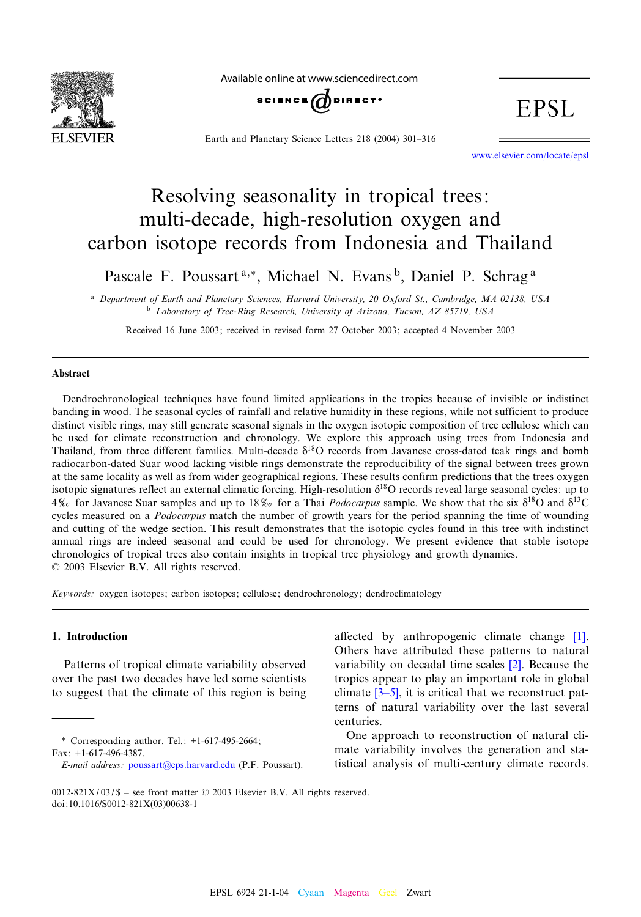

Available online at www.sciencedirect.com



Earth and Planetary Science Letters 218 (2004) 301-316

**EPSL** 

www.elsevier.com/locate/epsl

# Resolving seasonality in tropical trees: multi-decade, high-resolution oxygen and carbon isotope records from Indonesia and Thailand

Pascale F. Poussart<sup>a,\*</sup>, Michael N. Evans<sup>b</sup>, Daniel P. Schrag<sup>a</sup>

<sup>a</sup> Department of Earth and Planetary Sciences, Harvard University, 20 Oxford St., Cambridge, MA 02138, USA <sup>b</sup> Laboratory of Tree-Ring Research, University of Arizona, Tucson, AZ 85719, USA

Received 16 June 2003; received in revised form 27 October 2003; accepted 4 November 2003

#### Abstract

Dendrochronological techniques have found limited applications in the tropics because of invisible or indistinct banding in wood. The seasonal cycles of rainfall and relative humidity in these regions, while not sufficient to produce distinct visible rings, may still generate seasonal signals in the oxygen isotopic composition of tree cellulose which can be used for climate reconstruction and chronology. We explore this approach using trees from Indonesia and Thailand, from three different families. Multi-decade  $\delta^{18}O$  records from Javanese cross-dated teak rings and bomb radiocarbon-dated Suar wood lacking visible rings demonstrate the reproducibility of the signal between trees grown at the same locality as well as from wider geographical regions. These results confirm predictions that the trees oxygen isotopic signatures reflect an external climatic forcing. High-resolution  $\delta^{18}O$  records reveal large seasonal cycles: up to 4\% for Javanese Suar samples and up to 18\% for a Thai *Podocarpus* sample. We show that the six  $\delta^{18}O$  and  $\delta^{13}C$ cycles measured on a Podocarpus match the number of growth years for the period spanning the time of wounding and cutting of the wedge section. This result demonstrates that the isotopic cycles found in this tree with indistinct annual rings are indeed seasonal and could be used for chronology. We present evidence that stable isotope chronologies of tropical trees also contain insights in tropical tree physiology and growth dynamics.  $© 2003 Elsevier B.V. All rights reserved.$ 

Keywords: oxygen isotopes; carbon isotopes; cellulose; dendrochronology; dendroclimatology

## 1. Introduction

Patterns of tropical climate variability observed over the past two decades have led some scientists to suggest that the climate of this region is being

\* Correspondin[g author. Tel.: +1-617-495](mailto:poussart@eps.harvard.edu)-2664; Fax: +1-617-496-4387.

affected by anthropogenic clim[ate](#page-13-0) change [1]. Others have attributed these patterns to natural variabil[ity on](#page-13-0) decadal time scales [2]. Because the tropics appear to play an important role in global climate  $[3-5]$ , it is critical that we reconstruct patterns of natural variability over the last several centuries.

One approach to reconstruction of natural climate variability involves the generation and statistical analysis of multi-century climate records.

E-mail address: poussart@eps.harvard.edu (P.F. Poussart).

<sup>0012-821</sup>X/03/\$ - see front matter  $©$  2003 Elsevier B.V. All rights reserved. doi:10.1016/S0012-821X(03)00638-1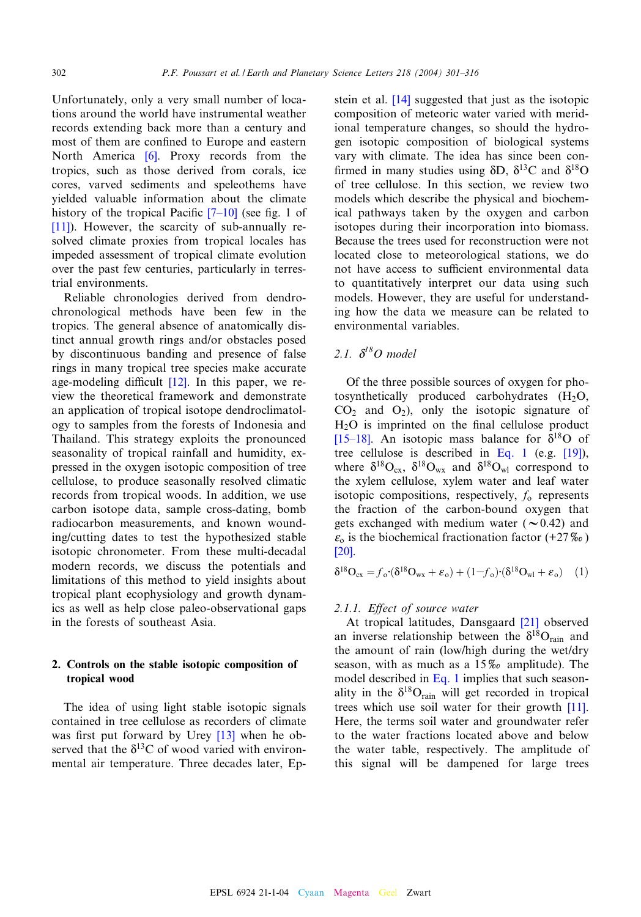<span id="page-1-0"></span>Unfortunately, only a very small number of locations around the world have instrumental weather records extending [ba](#page-13-0)ck more than a century and most of them are confined to Europe and eastern North America [6]. Proxy records from the tropics, such as those derived from corals, ice cores, varved sediments and [spele](#page-13-0)othems have [yield](#page-13-0)ed valuable information about the climate history of the tropical Pacific  $[7-10]$  (see fig. 1 of [11]). However, the scarcity of sub-annually resolved climate proxies from tropical locales has impeded assessment of tropical climate evolution over the past few centuries, particularly in terrestrial environments.

Reliable chronologies derived from dendrochronological methods have been few in the tropics. The general absence of anatomically distinct annual growth rings and/or obstacles posed by discontinuous ban[ding](#page-13-0) and presence of false rings in many tropical tree species make accurate age-modeling difficult  $[12]$ . In this paper, we review the theoretical framework and demonstrate an application of tropical isotope dendroclimatology to samples from the forests of Indonesia and Thailand. This strategy exploits the pronounced seasonality of tropical rainfall and humidity, expressed in the oxygen isotopic composition of tree cellulose, to produce seasonally resolved climatic records from tropical woods. In addition, we use carbon isotope data, sample cross-dating, bomb radiocarbon measurements, and known wounding/cutting dates to test the hypothesized stable isotopic chronometer. From these multi-decadal modern records, we discuss the potentials and limitations of this method to yield insights about tropical plant ecophysiology and growth dynamics as well as help close paleo-observational gaps in the forests of southeast Asia.

## 2. Controls on the stable isotopic composition of tropical wood

The idea of using light stabl[e iso](#page-13-0)topic signals contained in tree cellulose as recorders of climate was first put forward by Urey  $[13]$  when he observed that the  $\delta^{13}$ C of wood varied with environmental air temperature. Three decades later, Ep-

stein et al. [14] suggested that just as the isotopic composition of meteoric water varied with meridional temperature changes, so should the hydrogen isotopic composition of biological systems vary with climate. The idea has since been con firmed in many studies using  $\delta D$ ,  $\delta^{13}C$  and  $\delta^{18}O$ of tree cellulose. In this section, we review two models which describe the physical and biochemical pathways taken by the oxygen and carbon isotopes during their incorporation into biomass. Because the trees used for reconstruction were not located close to meteorological stations, we do not have access to sufficient environmental data to quantitatively interpret our data using such models. However, they are useful for understanding how the data we measure can be related to environmental variables.

# 2.1.  $\delta^{l8}O$  model

Of the three possible sources of oxygen for photosynthetically produced carbohydrates  $(H_2O,$  $CO<sub>2</sub>$  and  $O<sub>2</sub>$ ), only the isotopic signature of  $H<sub>2</sub>O$  is imprinted on the final cellulose pr[oduc](#page-13-0)t [15–18]. An isotopic mass balance for  $\delta^{18}O$  of tree cellulose is described in Eq. 1 (e.g. [19]), where  $\delta^{18}O_{\rm{ex}}$ ,  $\delta^{18}O_{\rm{wx}}$  and  $\delta^{18}O_{\rm{wl}}$  correspond to the xylem cellulose, xylem water and leaf water isotopic compositions, respectively,  $f_0$  represents the fraction of the carbon-bound oxygen that [gets](#page-14-0) exchanged with medium water ( $\sim$ 0.42) and  $\varepsilon_0$  is the biochemical fractionation factor (+27 $\%$ ) [20].

$$
\delta^{18}O_{\rm cx} = f_o \cdot (\delta^{18}O_{\rm wx} + \varepsilon_o) + (1 - f_o) \cdot (\delta^{18}O_{\rm w1} + \varepsilon_o) \tag{1}
$$

#### 2.1.1. Effect of source water

At tropical latitudes, Dansgaard [21] observed an inverse relationship between the  $\delta^{18}O_{\text{rain}}$  and the amount of rain (low/high during the wet/dry season, with as much as a  $15\%$  amplitude). The model described in Eq. 1 implies that such sea[son](#page-13-0)ality in the  $\delta^{18}O_{\text{rain}}$  will get recorded in tropical trees which use soil water for their growth [11]. Here, the terms soil water and groundwater refer to the water fractions located above and below the water table, respectively. The amplitude of this signal will be dampened for large trees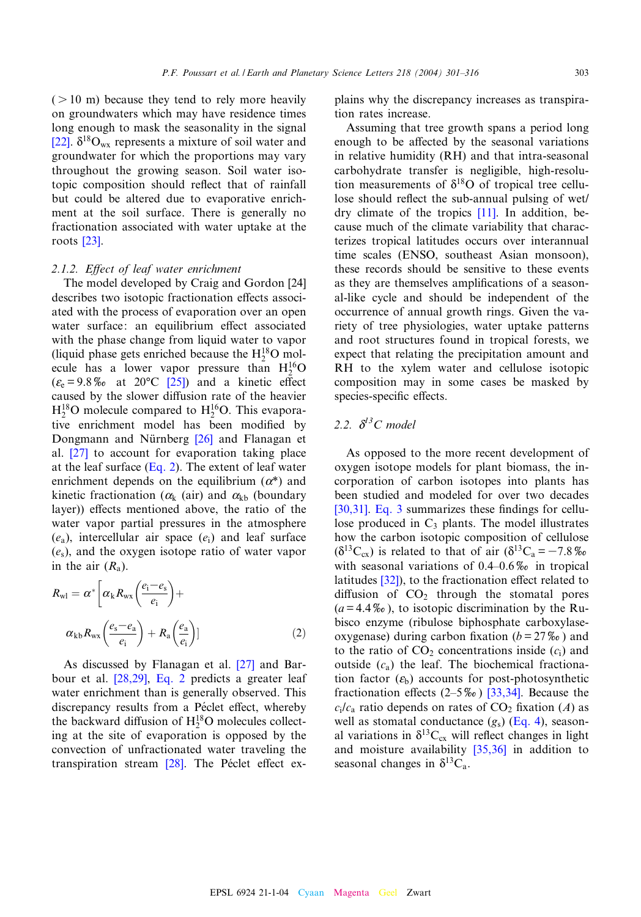$( > 10 \text{ m})$  because they tend to rely more heavily [on g](#page-14-0)roundwaters which may have residence times long enough to mask the seasonality in the signal [22].  $\delta^{18}O_{\text{wx}}$  represents a mixture of soil water and groundwater for which the proportions may vary throughout the growing season. Soil water isotopic composition should reflect that of rainfall but could be altered due to evaporative enrichment [at t](#page-14-0)he soil surface. There is generally no fractionation associated with water uptake at the roots [23].

#### 2.1.2. Effect of leaf water enrichment

The model developed by Craig and Gordon [24] describes two isotopic fractionation effects associated with the process of evaporation over an open water surface: an equilibrium effect associated with the phase change from liquid water to vapor (liquid phase gets enri[ched](#page-14-0) because the  $H_2^{18}$ O molecule has a lower vapor pressure than  $H_2^{16}O$  $(\varepsilon_e = 9.8\%$  at 20°C [25]) and a kinetic effect caused by the slower diffusion rate of the heavier  $H_2^{18}$ O molecule compared to  $H_2^{16}$ O. This evaporativ[e en](#page-14-0)richment model has been modified by Dongmann and Nürnberg  $[26]$  and Flanagan et al. [27] to account for evaporation taking place at the leaf surface  $(Eq. 2)$ . The extent of leaf water enrichment depends on the equilibrium  $(\alpha^*)$  and kinetic fractionation ( $\alpha_k$  (air) and  $\alpha_{kb}$  (boundary layer)) effects mentioned above, the ratio of the water vapor partial pressures in the atmosphere  $(e_a)$ , intercellular air space  $(e_i)$  and leaf surface  $(e_s)$ , and the oxygen isotope ratio of water vapor in the air  $(R_a)$ .

$$
R_{\rm w1} = \alpha^* \left[ \alpha_{\rm k} R_{\rm wx} \left( \frac{e_{\rm i} - e_{\rm s}}{e_{\rm i}} \right) + \right. \n\alpha_{\rm kb} R_{\rm wx} \left( \frac{e_{\rm s} - e_{\rm a}}{e_{\rm i}} \right) + R_{\rm a} \left( \frac{e_{\rm a}}{e_{\rm i}} \right) \tag{2}
$$

As discus[sed](#page-14-0) [by](#page-14-0) Flanagan et al. [27] and Barbour et al. [28,29], Eq. 2 predicts a greater leaf water enrichment than is generally observed. This discrepancy results from a Péclet effect, whereby the backward diffusion of  $H_2^{18}O$  molecules collecting at the site of eva[pora](#page-14-0)tion is opposed by the convection of unfractionated water traveling the transpiration stream  $[28]$ . The Péclet effect explains why the discrepancy increases as transpiration rates increase.

Assuming that tree growth spans a period long enough to be affected by the seasonal variations in relative humidity (RH) and that intra-seasonal carbohydrate transfer is negligible, high-resolution measurements of  $\delta^{18}$ O [of t](#page-13-0)ropical tree cellulose should reflect the sub-annual pulsing of wet/ dry climate of the tropics [11]. In addition, because much of the climate variability that characterizes tropical latitudes occurs over interannual time scales (ENSO, southeast Asian monsoon), these records should be sensitive to these events as they are themselves amplifications of a seasonal-like cycle and should be independent of the occurrence of annual growth rings. Given the variety of tree physiologies, water uptake patterns and root structures found in tropical forests, we expect that relating the precipitation amount and RH to the xylem water and cellulose isotopic composition may in some cases be masked by species-specific effects.

## 2.2.  $\delta^{l3}C$  model

As opposed to the more recent development of oxygen isotope models for plant biomass, the in[corpor](#page-14-0)a[tion o](#page-3-0)f carbon isotopes into plants has been studied and modeled for over two decades [30,31]. Eq. 3 summarizes these findings for cellulose produced in  $C_3$  plants. The model illustrates how the carbon isotopic composition of cellulose  $(\delta^{13}C_{\alpha})$  [is re](#page-14-0)lated to that of air  $(\delta^{13}C_{\alpha} = -7.8\%$ with seasonal variations of  $0.4$ -0.6% in tropical latitudes  $[32]$ , to the fractionation effect related to diffusion of  $CO<sub>2</sub>$  through the stomatal pores  $(a = 4.4\%$ , to isotopic discrimination by the Rubisco enzyme (ribulose biphosphate carboxylaseoxygenase) during carbon fixation ( $b = 27\%$ ) and to the ratio of  $CO<sub>2</sub>$  concentrations inside  $(c<sub>i</sub>)$  and outside  $(c_a)$  the leaf. The bi[ochemic](#page-14-0)al fractionation factor  $(\varepsilon_b)$  accounts for post-photosynthetic fractionation effects  $(2-5\%)$  [33,3[4\]. Be](#page-3-0)cause the  $c_i/c_a$  ratio depends on rates of CO<sub>2</sub> fixation (A) as well as stomatal conductance  $(g_s)$  (Eq. 4), seasonal variations in  $\delta^{13}C_{cx}$  will reflect changes in light and moisture availability [35,36] in addition to seasonal changes in  $\delta^{13}C_a$ .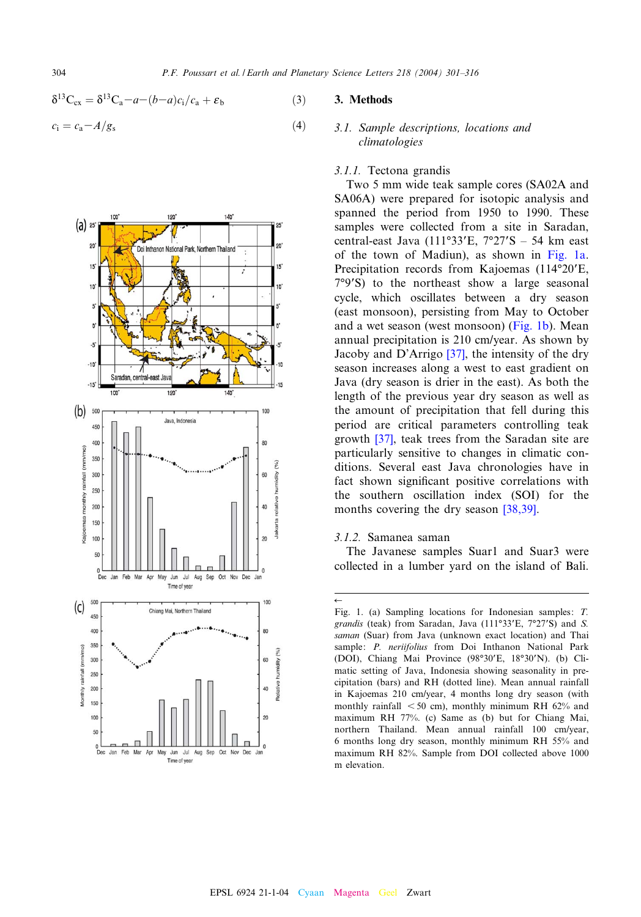<span id="page-3-0"></span>304 **P.F. Poussart et al. / Earth and Planetary Science Letters 218 (2004) 301-316** 

$$
\delta^{13}C_{cx} = \delta^{13}C_a - a - (b-a)c_i/c_a + \varepsilon_b \tag{3}
$$

$$
c_{\rm i} = c_{\rm a} - A/g_{\rm s} \tag{4}
$$



#### 3. Methods

#### 3.1. Sample descriptions, locations and climatologies

#### 3.1.1. Tectona grandis

Two 5 mm wide teak sample cores (SA02A and SA06A) were prepared for isotopic analysis and spanned the period from 1950 to 1990. These samples were collected from a site in Saradan, central-east Java (111°33'E,  $7°27'S - 54$  km east of the town of Madiun), as shown in Fig. 1a. Precipitation records from Kajoemas (114°20'E,  $7°9'$ S) to the northeast show a large seasonal cycle, which oscillates between a dry season (east monsoon), persisting from May to October and a wet season (we[st mo](#page-14-0)nsoon) (Fig. 1b). Mean annual precipitation is 210 cm/year. As shown by Jacoby and D'Arrigo [37], the intensity of the dry season increases along a west to east gradient on Java (dry season is drier in the east). As both the length of the previous year dry season as well as the am[ount](#page-14-0) of precipitation that fell during this period are critical parameters controlling teak growth [37], teak trees from the Saradan site are particularly sensitive to changes in climatic conditions. Several east Java chronologies have in fact shown significant positive [correlat](#page-14-0)ions with the southern oscillation index (SOI) for the months covering the dry season [38,39].

3.1.2. Samanea saman

The Javanese samples Suar1 and Suar3 were collected in a lumber yard on the island of Bali.

 $\leftarrow$ Fig. 1. (a) Sampling locations for Indonesian samples: T. grandis (teak) from Saradan, Java (111°33'E, 7°27'S) and S. saman (Suar) from Java (unknown exact location) and Thai sample: P. neriifolius from Doi Inthanon National Park (DOI), Chiang Mai Province (98°30'E, 18°30'N). (b) Climatic setting of Java, Indonesia showing seasonality in precipitation (bars) and RH (dotted line). Mean annual rainfall in Kajoemas 210 cm/year, 4 months long dry season (with monthly rainfall  $<$  50 cm), monthly minimum RH 62% and maximum RH 77%. (c) Same as (b) but for Chiang Mai, northern Thailand. Mean annual rainfall 100 cm/year, 6 months long dry season, monthly minimum RH 55% and maximum RH 82%. Sample from DOI collected above 1000 m elevation.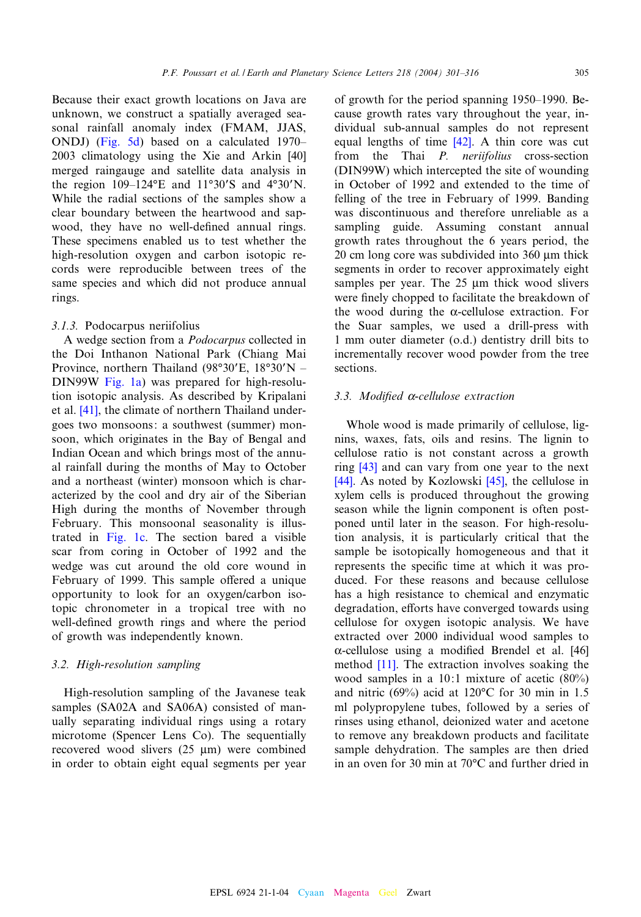Because their exact growth locations on Java are unknown[, we con](#page-8-0)struct a spatially averaged seasonal rainfall anomaly index (FMAM, JJ[AS,](#page-14-0) ONDJ) (Fig. 5d) based on a calculated 1970– 2003 climatology using the Xie and Arkin [40] merged raingauge and satellite data analysis in the region  $109-124\text{°E}$  and  $11\text{°30}$ 'S and  $4\text{°30}$ 'N. While the radial sections of the samples show a clear boundary between the heartwood and sapwood, they have no well-defined annual rings. These specimens enabled us to test whether the high-resolution oxygen and carbon isotopic records were reproducible between trees of the same species and which did not produce annual rings.

#### 3.1.3. Podocarpus neriifolius

A wedge section from a Podocarpus collected in the Doi [Inthanon](#page-3-0) National Park (Chiang Mai Province, northern Thailand (98°30'E,  $18°30'N -$ DIN[99W](#page-14-0) Fig. 1a) was prepared for high-resolution isotopic analysis. As described by Kripalani et al. [41], the climate of northern Thailand undergoes two monsoons: a southwest (summer) monsoon, which originates in the Bay of Bengal and Indian Ocean and which brings most of the annual rainfall during the months of May to October and a northeast (winter) monsoon which is characterized by the cool and dry air of the Siberian High duri[ng the](#page-3-0) months of November through February. This monsoonal seasonality is illustrated in Fig. 1c. The section bared a visible scar from coring in October of 1992 and the wedge was cut around the old core wound in February of 1999. This sample offered a unique opportunity to look for an oxygen/carbon isotopic chronometer in a tropical tree with no well-defined growth rings and where the period of growth was independently known.

#### 3.2. High-resolution sampling

High-resolution sampling of the Javanese teak samples (SA02A and SA06A) consisted of manually separating individual rings using a rotary microtome (Spencer Lens Co). The sequentially recovered wood slivers  $(25 \mu m)$  were combined in order to obtain eight equal segments per year

of growth for the period spanning 1950^1990. Because growth rates var[y th](#page-14-0)roughout the year, individual sub-annual samples do not represent equal lengths of time [42]. A thin core was cut from the Thai P. neriifolius cross-section (DIN99W) which intercepted the site of wounding in October of 1992 and extended to the time of felling of the tree in February of 1999. Banding was discontinuous and therefore unreliable as a sampling guide. Assuming constant annual growth rates throughout the 6 years period, the  $20 \text{ cm}$  long core was subdivided into  $360 \text{ }\mu\text{m}$  thick segments in order to recover approximately eight samples per year. The 25 µm thick wood slivers were finely chopped to facilitate the breakdown of the wood during the  $\alpha$ -cellulose extraction. For the Suar samples, we used a drill-press with 1 mm outer diameter (o.d.) dentistry drill bits to incrementally recover wood powder from the tree sections.

#### 3.3. Modified  $\alpha$ -cellulose extraction

Whole wood is made primarily of cellulose, lignins, [wa](#page-14-0)xes, fats, oils and resins. The lignin to [cellu](#page-14-0)lose ratio is not consta[nt a](#page-14-0)cross a growth ring [43] and can vary from one year to the next [44]. As noted by Kozlowski  $[45]$ , the cellulose in xylem cells is produced throughout the growing season while the lignin component is often postponed until later in the season. For high-resolution analysis, it is particularly critical that the sample be isotopically homogeneous and that it represents the specific time at which it was produced. For these reasons and because cellulose has a high resistance to chemical and enzymatic degradation, efforts have converged towards using cellulose for oxygen isotopic analysis. We [have](#page-14-0) extracte[d ov](#page-13-0)er 2000 individual wood samples to  $\alpha$ -cellulose using a modified Brendel et al. [46] method [11]. The extraction involves soaking the wood samples in a 10:1 mixture of acetic (80%) and nitric (69%) acid at 120 $^{\circ}$ C for 30 min in 1.5 ml polypropylene tubes, followed by a series of rinses using ethanol, deionized water and acetone to remove any breakdown products and facilitate sample dehydration. The samples are then dried in an oven for 30 min at  $70^{\circ}$ C and further dried in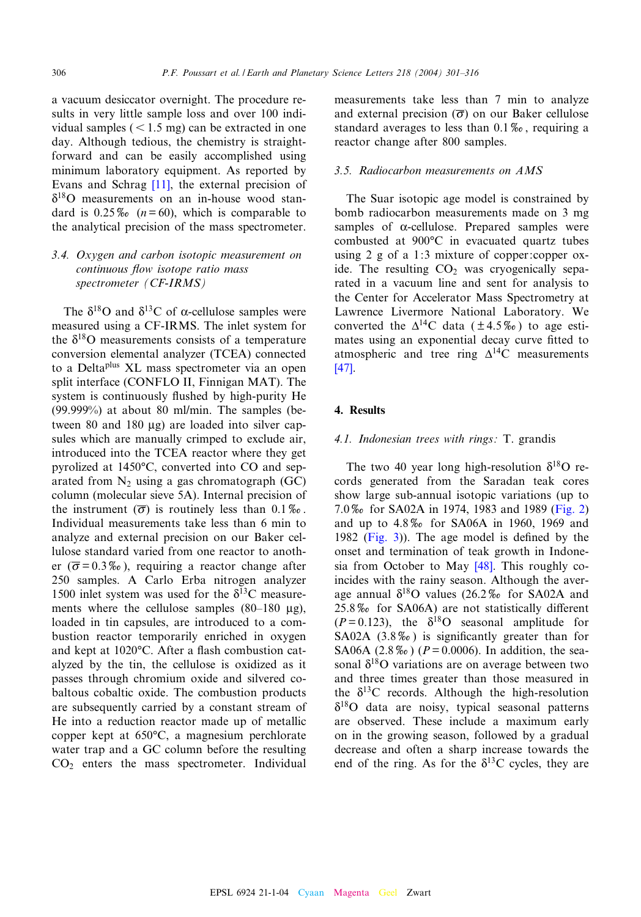a vacuum desiccator overnight. The procedure results in very little sample loss and over 100 individual samples  $(< 1.5$  mg) can be extracted in one day. Although tedious, the chemistry is straightforward and can [be e](#page-13-0)asily accomplished using minimum laboratory equipment. As reported by Evans and Schrag [11], the external precision of  $\delta^{18}$ O measurements on an in-house wood standard is  $0.25\%$  ( $n=60$ ), which is comparable to the analytical precision of the mass spectrometer.

## 3.4. Oxygen and carbon isotopic measurement on continuous flow isotope ratio mass spectrometer (CF-IRMS)

The  $\delta^{18}$ O and  $\delta^{13}$ C of  $\alpha$ -cellulose samples were measured using a CF-IRMS. The inlet system for the  $\delta^{18}$ O measurements consists of a temperature conversion elemental analyzer (TCEA) connected to a Deltaplus XL mass spectrometer via an open split interface (CONFLO II, Finnigan MAT). The system is continuously flushed by high-purity He (99.999%) at about 80 ml/min. The samples (between 80 and 180  $\mu$ g) are loaded into silver capsules which are manually crimped to exclude air, introduced into the TCEA reactor where they get pyrolized at 1450°C, converted into CO and separated from  $N_2$  using a gas chromatograph (GC) column (molecular sieve 5A). Internal precision of the instrument  $(\overline{\sigma})$  is routinely less than 0.1‰. Individual measurements take less than 6 min to analyze and external precision on our Baker cellulose standard varied from one reactor to another ( $\overline{\sigma}$  = 0.3%), requiring a reactor change after 250 samples. A Carlo Erba nitrogen analyzer 1500 inlet system was used for the  $\delta^{13}$ C measurements where the cellulose samples  $(80-180 \text{ µg})$ , loaded in tin capsules, are introduced to a combustion reactor temporarily enriched in oxygen and kept at  $1020^{\circ}$ C. After a flash combustion catalyzed by the tin, the cellulose is oxidized as it passes through chromium oxide and silvered cobaltous cobaltic oxide. The combustion products are subsequently carried by a constant stream of He into a reduction reactor made up of metallic copper kept at  $650^{\circ}$ C, a magnesium perchlorate water trap and a GC column before the resulting  $CO<sub>2</sub>$  enters the mass spectrometer. Individual

measurements take less than 7 min to analyze and external precision  $(\overline{\sigma})$  on our Baker cellulose standard averages to less than  $0.1\%$ , requiring a reactor change after 800 samples.

#### 3.5. Radiocarbon measurements on AMS

The Suar isotopic age model is constrained by bomb radiocarbon measurements made on 3 mg samples of  $\alpha$ -cellulose. Prepared samples were combusted at 900°C in evacuated quartz tubes using 2 g of a 1:3 mixture of copper:copper oxide. The resulting  $CO<sub>2</sub>$  was cryogenically separated in a vacuum line and sent for analysis to the Center for Accelerator Mass Spectrometry at Lawrence Livermore National Laboratory. We converted the  $\Delta^{14}$ C data ( $\pm$  4.5%) to age esti[mat](#page-14-0)es using an exponential decay curve fitted to atmospheric and tree ring  $\Delta^{14}$ C measurements [47].

#### 4. Results

#### 4.1. Indonesian trees with rings: T. grandis

The two 40 year long high-resolution  $\delta^{18}O$  records generated from the Saradan tea[k cores](#page-6-0) show large sub-annual isotopic variations (up to 7.0% [for SA](#page-7-0)02A in 1974, 1983 and 1989 (Fig. 2) and up to  $4.8\%$  for SA06A in 1960, 1969 and 1982 (Fig. 3)). The age m[odel](#page-14-0) is defined by the onset and termination of teak growth in Indonesia from October to May [48]. This roughly coincides with the rainy season. Although the average annual  $\delta^{18}$ O values (26.2\% for SA02A and  $25.8\%$  for SA06A) are not statistically different  $(P=0.123)$ , the  $\delta^{18}$ O seasonal amplitude for SA02A  $(3.8\%)$  is significantly greater than for SA06A (2.8%) ( $P = 0.0006$ ). In addition, the seasonal  $\delta^{18}$ O variations are on average between two and three times greater than those measured in the  $\delta^{13}$ C records. Although the high-resolution  $\delta^{18}$ O data are noisy, typical seasonal patterns are observed. These include a maximum early on in the growing season, followed by a gradual decrease and often a sharp increase towards the end of the ring. As for the  $\delta^{13}$ C cycles, they are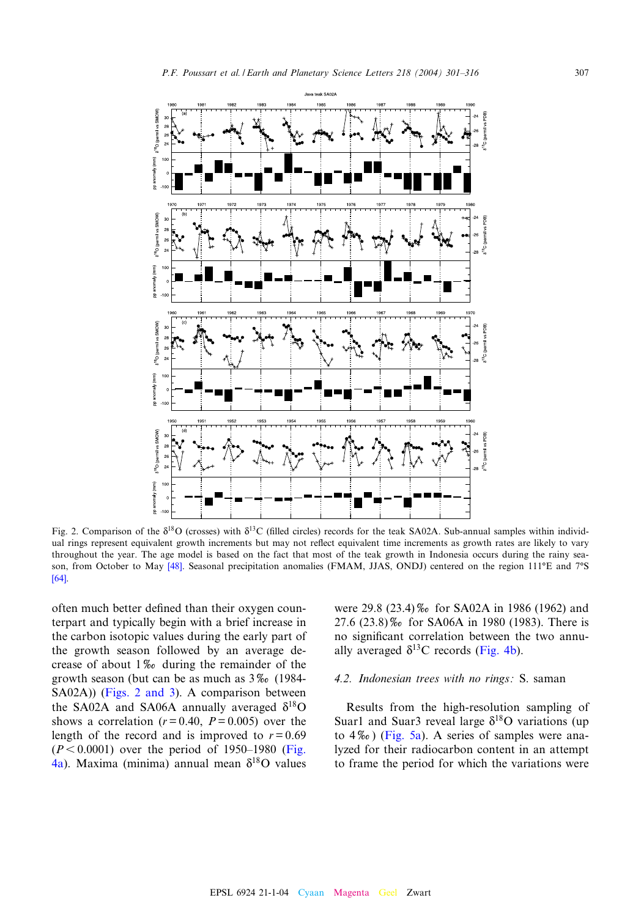<span id="page-6-0"></span>

Fig. 2. Comparison of the  $\delta^{18}O$  (crosses) with  $\delta^{13}C$  (filled circles) records for the teak SA02A. Sub-annual samples within individual rings represent equivale[nt gr](#page-14-0)owth increments but may not reflect equivalent time increments as growth rates are likely to vary [thro](#page-15-0)ughout the year. The age model is based on the fact that most of the teak growth in Indonesia occurs during the rainy season, from October to May [48]. Seasonal precipitation anomalies (FMAM, JJAS, ONDJ) centered on the region 111°E and 7°S [64].

often much better defined than their oxygen counterpart and typically begin with a brief increase in the carbon isotopic values during the early part of the growth season followed by an average decrease of about  $1\%$  during the remainder of the growth season (but can be as much as  $3\%$  (1984-SA02A)) (Figs. 2 and 3). A comparison between the SA02A and SA06A annually averaged  $\delta^{18}O$ shows a correlation  $(r = 0.40, P = 0.005)$  over [the](#page-8-0) [len](#page-8-0)gth of the record and is improved to  $r = 0.69$  $(P < 0.0001)$  over the period of 1950–1980 (Fig. 4a). Maxima (minima) annual mean  $\delta^{18}O$  values

were 29.8 (23.4)‰ for SA02A in 1986 (1962) and 27.6 (23.8)% for SA06A in [1980 \(1](#page-8-0)983). There is no significant correlation between the two annually averaged  $\delta^{13}$ C records (Fig. 4b).

#### 4.2. Indonesian trees with no rings: S. saman

Results [from t](#page-8-0)he high-resolution sampling of Suar1 and Suar3 reveal large  $\delta^{18}$ O variations (up to  $4\%$ ) (Fig. 5a). A series of samples were analyzed for their radiocarbon content in an attempt to frame the period for which the variations were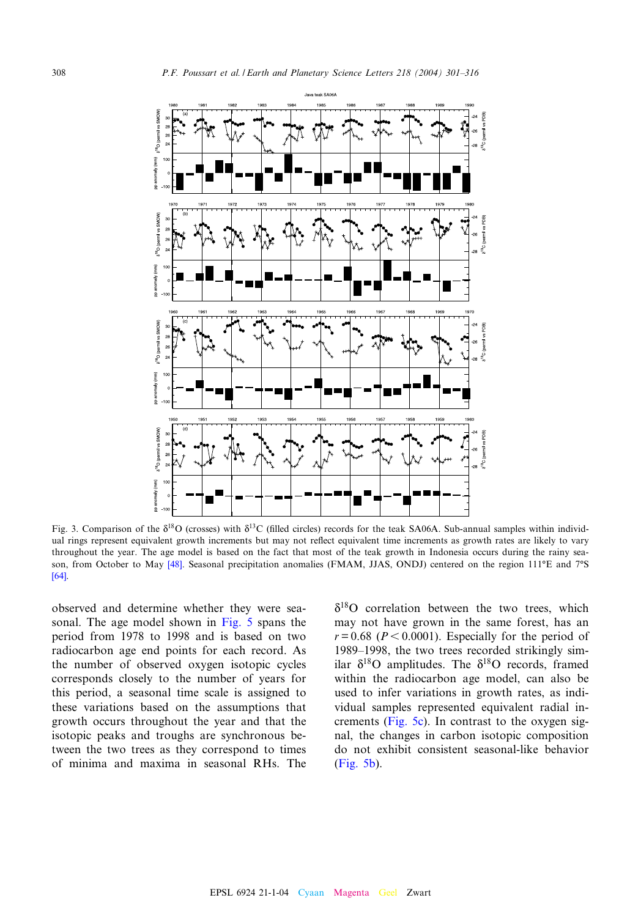<span id="page-7-0"></span>

Fig. 3. Comparison of the  $\delta^{18}O$  (crosses) with  $\delta^{13}C$  (filled circles) records for the teak SA06A. Sub-annual samples within individual rings represent equivale[nt gr](#page-14-0)owth increments but may not reflect equivalent time increments as growth rates are likely to vary [thro](#page-15-0)ughout the year. The age model is based on the fact that most of the teak growth in Indonesia occurs during the rainy season, from October to May [48]. Seasonal precipitation anomalies (FMAM, JJAS, ONDJ) centered on the region 111°E and 7°S [64].

observed and determine whethe[r](#page-8-0) [they](#page-8-0) were seasonal. The age model shown in Fig. 5 spans the period from 1978 to 1998 and is based on two radiocarbon age end points for each record. As the number of observed oxygen isotopic cycles corresponds closely to the number of years for this period, a seasonal time scale is assigned to these variations based on the assumptions that growth occurs throughout the year and that the isotopic peaks and troughs are synchronous between the two trees as they correspond to times of minima and maxima in seasonal RHs. The

 $\delta^{18}$ O correlation between the two trees, which may not have grown in the same forest, has an  $r = 0.68$  ( $P < 0.0001$ ). Especially for the period of 1989–1998, the two trees recorded strikingly similar  $\delta^{18}$ O amplitudes. The  $\delta^{18}$ O records, framed within the radiocarbon age model, can also be used to i[nfer vari](#page-8-0)ations in growth rates, as individual samples represented equivalent radial increments (Fig. 5c). In contrast to the oxygen sig[nal, the](#page-8-0) changes in carbon isotopic composition do not exhibit consistent seasonal-like behavior (Fig. 5b).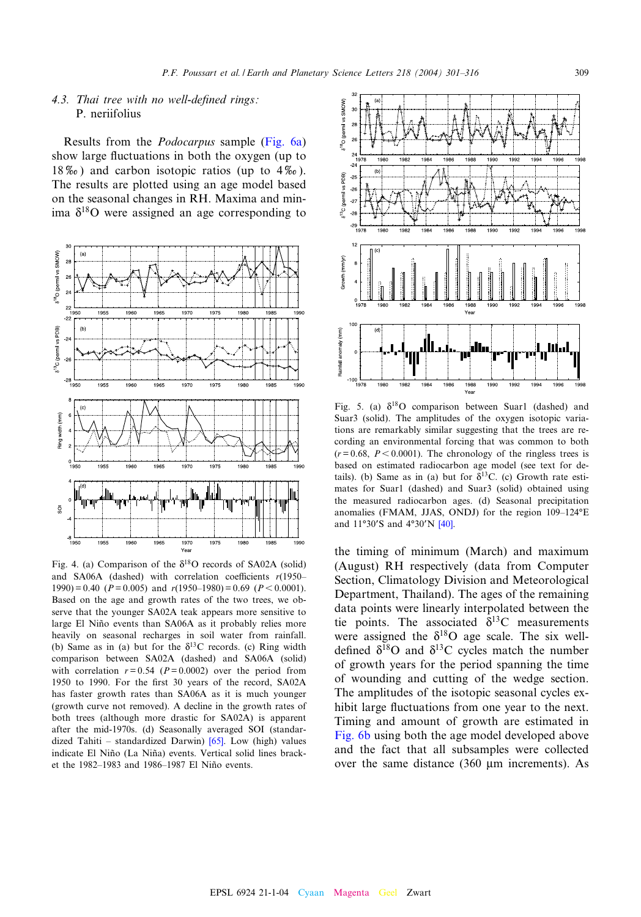## <span id="page-8-0"></span>4.3. Thai tree with no well-defined rings: P. neriifolius

Results from the Podocarpus sample (Fig. 6a) show large fluctuations in both the oxygen (up to  $18\%$ ) and carbon isotopic ratios (up to  $4\%$ ). The results are plotted using an age model based on the seasonal changes in RH. Maxima and minima  $\delta^{18}$ O were assigned an age corresponding to



Fig. 4. (a) Comparison of the  $\delta^{18}$ O records of SA02A (solid) and SA06A (dashed) with correlation coefficients  $r(1950 1990$ ) = 0.40 ( $P = 0.005$ ) and  $r(1950-1980) = 0.69$  ( $P < 0.0001$ ). Based on the age and growth rates of the two trees, we observe that the younger SA02A teak appears more sensitive to large El Niño events than SA06A as it probably relies more heavily on seasonal recharges in soil water from rainfall. (b) Same as in (a) but for the  $\delta^{13}$ C records. (c) Ring width comparison between SA02A (dashed) and SA06A (solid) with correlation  $r = 0.54$  ( $P = 0.0002$ ) over the period from 1950 to 1990. For the first 30 years of the record, SA02A has faster growth rates than SA06A as it is much younger (growth curve not removed). A decline in the growth rates of both trees (although more drastic f[or S](#page-15-0)A02A) is apparent after the mid-1970s. (d) Seasonally averaged SOI (standardized Tahiti – standardized Darwin)  $[65]$ . Low (high) values indicate El Niño (La Niña) events. Vertical solid lines bracket the 1982-1983 and 1986-1987 El Niño events.



Fig. 5. (a)  $\delta^{18}O$  comparison between Suar1 (dashed) and Suar3 (solid). The amplitudes of the oxygen isotopic variations are remarkably similar suggesting that the trees are recording an environmental forcing that was common to both  $(r = 0.68, P < 0.0001)$ . The chronology of the ringless trees is based on estimated radiocarbon age model (see text for details). (b) Same as in (a) but for  $\delta^{13}$ C. (c) Growth rate estimates for Suar1 (dashed) and Suar3 (solid) obtained using the measured radiocarb[on a](#page-14-0)ges. (d) Seasonal precipitation anomalies (FMAM, JJAS, ONDJ) for the region  $109-124^{\circ}E$ and  $11°30'S$  and  $4°30'N$   $[40]$ .

the timing of minimum (March) and maximum (August) RH respectively (data from Computer Section, Climatology Division and Meteorological Department, Thailand). The ages of the remaining data points were linearly interpolated between the tie points. The associated  $\delta^{13}$ C measurements were assigned the  $\delta^{18}$ O age scale. The six welldefined  $\delta^{18}$ O and  $\delta^{13}$ C cycles match the number of growth years for the period spanning the time of wounding and cutting of the wedge section. The amplitudes of the isotopic seasonal cycles ex[hibit lar](#page-9-0)ge fluctuations from one year to the next. Timing and amount of growth are estimated in Fig. 6b using both the age model developed above and the fact that all subsamples were collected over the same distance  $(360 \mu m)$  increments). As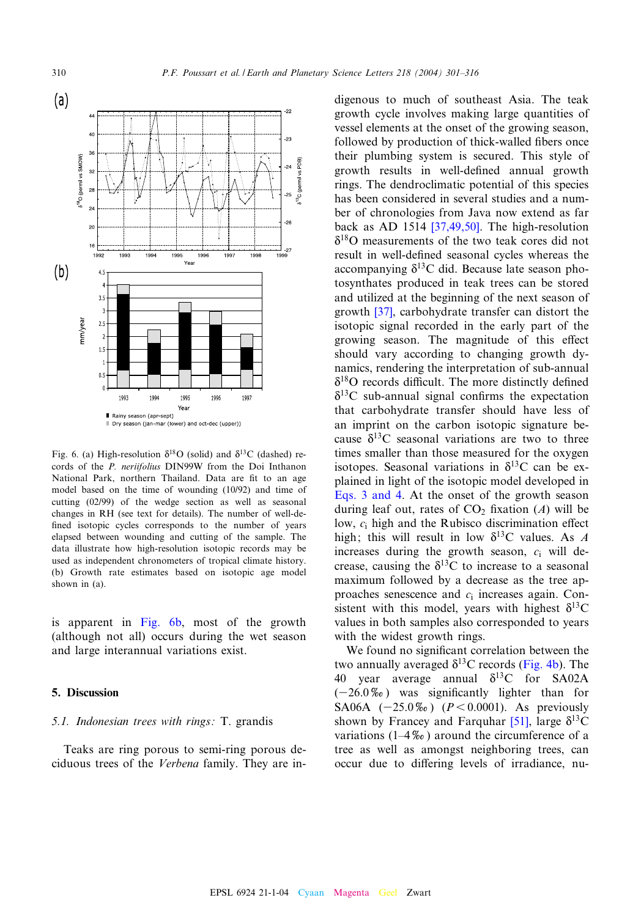<span id="page-9-0"></span>

Fig. 6. (a) High-resolution  $\delta^{18}O$  (solid) and  $\delta^{13}C$  (dashed) records of the P. neriifolius DIN99W from the Doi Inthanon National Park, northern Thailand. Data are fit to an age model based on the time of wounding (10/92) and time of cutting (02/99) of the wedge section as well as seasonal changes in RH (see text for details). The number of well-de fined isotopic cycles corresponds to the number of years elapsed between wounding and cutting of the sample. The data illustrate how high-resolution isotopic records may be used as independent chronometers of tropical climate history. (b) Growth rate estimates based on isotopic age model shown in (a).

is apparent in Fig. 6b, most of the growth (although not all) occurs during the wet season and large interannual variations exist.

## 5. Discussion

#### 5.1. Indonesian trees with rings: T. grandis

Teaks are ring porous to semi-ring porous deciduous trees of the Verbena family. They are in-

digenous to much of southeast Asia. The teak growth cycle involves making large quantities of vessel elements at the onset of the growing season, followed by production of thick-walled fibers once their plumbing system is secured. This style of growth results in well-defined annual growth rings. The dendroclimatic potential of this species has been considere[d in severa](#page-14-0)l studies and a number of chronologies from Java now extend as far back as AD 1514 [37,49,50]. The high-resolution  $\delta^{18}$ O measurements of the two teak cores did not result in well-defined seasonal cycles whereas the accompanying  $\delta^{13}$ C did. Because late season photosynth[ates](#page-14-0) produced in teak trees can be stored and utilized at the beginning of the next season of growth [37], carbohydrate transfer can distort the isotopic signal recorded in the early part of the growing season. The magnitude of this effect should vary according to changing growth dynamics, rendering the interpretation of sub-annual  $\delta^{18}$ O records difficult. The more distinctly defined  $\delta^{13}$ C sub-annual signal confirms the expectation that carbohydrate transfer should have less of an imprint on the carbon isotopic signature because  $\delta^{13}$ C seasonal variations are two to three times smaller than those measured for the oxygen [isotopes. Sea](#page-3-0)sonal variations in  $\delta^{13}$ C can be explained in light of the isotopic model developed in Eqs. 3 and 4. At the onset of the growth season during leaf out, rates of  $CO<sub>2</sub>$  fixation (A) will be low,  $c_i$  high and the Rubisco discrimination effect high; this will result in low  $\delta^{13}$ C values. As A increases during the growth season,  $c_i$  will decrease, causing the  $\delta^{13}$ C to increase to a seasonal maximum followed by a decrease as the tree approaches senescence and  $c_i$  increases again. Consistent with this model, years with highest  $\delta^{13}C$ values in both samples also corresponded to years with the widest growth rings.

We fou[n](#page-8-0)d no significant correlation [betwee](#page-8-0)n the two annually averaged  $\delta^{13}$ C records (Fig. 4b). The 40 year average annual  $\delta^{13}$ C for SA02A  $(-26.0\%)$  was significantly li[ghter](#page-15-0) than for SA06A  $(-25.0\%)$   $(P < 0.0001)$ . As previously shown by Francey and Farquhar [51], large  $\delta^{13}$ C variations ( $1-4\%$ ) around the circumference of a tree as well as amongst neighboring trees, can occur due to differing levels of irradiance, nu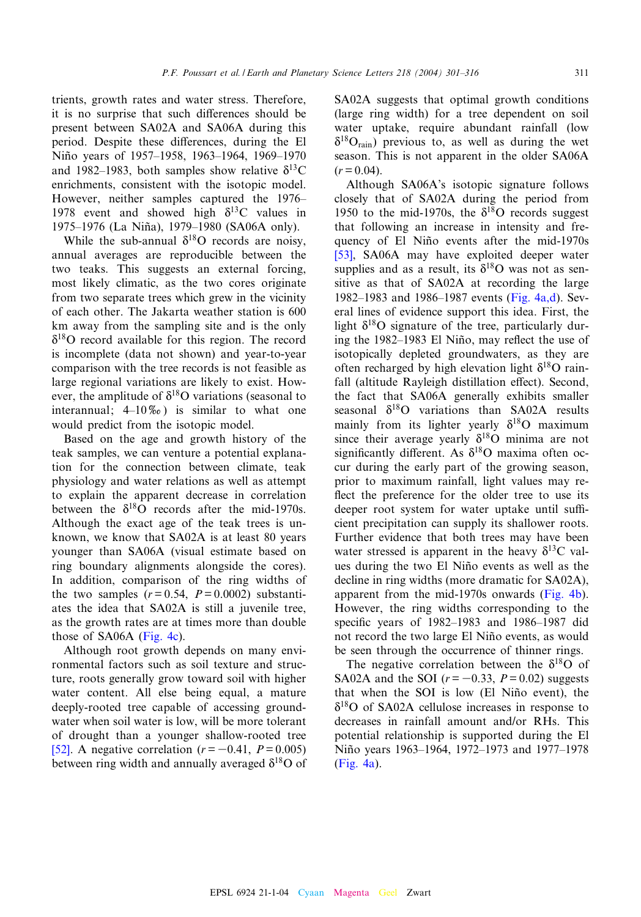trients, growth rates and water stress. Therefore, it is no surprise that such differences should be present between SA02A and SA06A during this period. Despite these differences, during the El Niño years of 1957-1958, 1963-1964, 1969-1970 and 1982–1983, both samples show relative  $\delta^{13}$ C enrichments, consistent with the isotopic model. However, neither samples captured the 1976– 1978 event and showed high  $\delta^{13}$ C values in 1975-1976 (La Niña), 1979-1980 (SA06A only).

While the sub-annual  $\delta^{18}$ O records are noisy, annual averages are reproducible between the two teaks. This suggests an external forcing, most likely climatic, as the two cores originate from two separate trees which grew in the vicinity of each other. The Jakarta weather station is 600 km away from the sampling site and is the only  $\delta^{18}$ O record available for this region. The record is incomplete (data not shown) and year-to-year comparison with the tree records is not feasible as large regional variations are likely to exist. However, the amplitude of  $\delta^{18}$ O variations (seasonal to interannual;  $4\text{--}10\%$ ) is similar to what one would predict from the isotopic model.

Based on the age and growth history of the teak samples, we can venture a potential explanation for the connection between climate, teak physiology and water relations as well as attempt to explain the apparent decrease in correlation between the  $\delta^{18}$ O records after the mid-1970s. Although the exact age of the teak trees is unknown, we know that SA02A is at least 80 years younger than SA06A (visual estimate based on ring boundary alignments alongside the cores). In addition, comparison of the ring widths of the two samples  $(r= 0.54, P= 0.0002)$  substantiates the idea tha[t SA02A](#page-8-0) is still a juvenile tree, as the growth rates are at times more than double those of SA06A (Fig. 4c).

Although root growth depends on many environmental factors such as soil texture and structure, roots generally grow toward soil with higher water content. All else being equal, a mature deeply-rooted tree capable of accessing ground[wat](#page-15-0)er when soil water is low, will be more tolerant of drought than a younger shallow-rooted tree [52]. A negative correlation  $(r = -0.41, P = 0.005)$ between ring width and annually averaged  $\delta^{18}$ O of SA02A suggests that optimal growth conditions (large ring width) for a tree dependent on soil water uptake, require abundant rainfall (low  $\delta^{18}O_{\text{rain}}$ ) previous to, as well as during the wet season. This is not apparent in the older SA06A  $(r = 0.04)$ .

Although SA06A's isotopic signature follows closely that of SA02A during the period from 1950 to the mid-1970s, the  $\delta^{18}$ O records suggest [that](#page-15-0) following an increase in intensity and frequency of El Niño events after the mid-1970s [53], SA06A may have exploited deeper water supplies and as a result, its  $\delta^{18}$ O [was not a](#page-8-0)s sensitive as that of SA02A at recording the large 1982–1983 and 1986–1987 events (Fig.  $4a,d$ ). Several lines of evidence support this idea. First, the light  $\delta^{18}$ O signature of the tree, particularly during the 1982–1983 El Niño, may reflect the use of isotopically depleted groundwaters, as they are often recharged by high elevation light  $\delta^{18}$ O rainfall (altitude Rayleigh distillation effect). Second, the fact that SA06A generally exhibits smaller seasonal  $\delta^{18}O$  variations than SA02A results mainly from its lighter yearly  $\delta^{18}$ O maximum since their average yearly  $\delta^{18}$ O minima are not significantly different. As  $\delta^{18}$ O maxima often occur during the early part of the growing season, prior to maximum rainfall, light values may re flect the preference for the older tree to use its deeper root system for water uptake until sufficient precipitation can supply its shallower roots. Further evidence that both trees may have been water stressed is apparent in the heavy  $\delta^{13}$ C values during the two El Niño events as w[ell as th](#page-8-0)e decline in ring widths (more dramatic for SA02A), apparent from the mid-1970s onwards (Fig. 4b). However, the ring widths corresponding to the specific years of  $1982-1983$  and  $1986-1987$  did not record the two large El Niño events, as would be seen through the occurrence of thinner rings.

The negative correlation between the  $\delta^{18}O$  of SA02A and the SOI  $(r = -0.33, P = 0.02)$  suggests that when the SOI is low (El Niño event), the  $\delta^{18}$ O of SA02A cellulose increases in response to decreases in rainfall amount and/or RHs. This [potentia](#page-8-0)l relationship is supported during the El Niño years 1963–1964, 1972–1973 and 1977–1978 (Fig. 4a).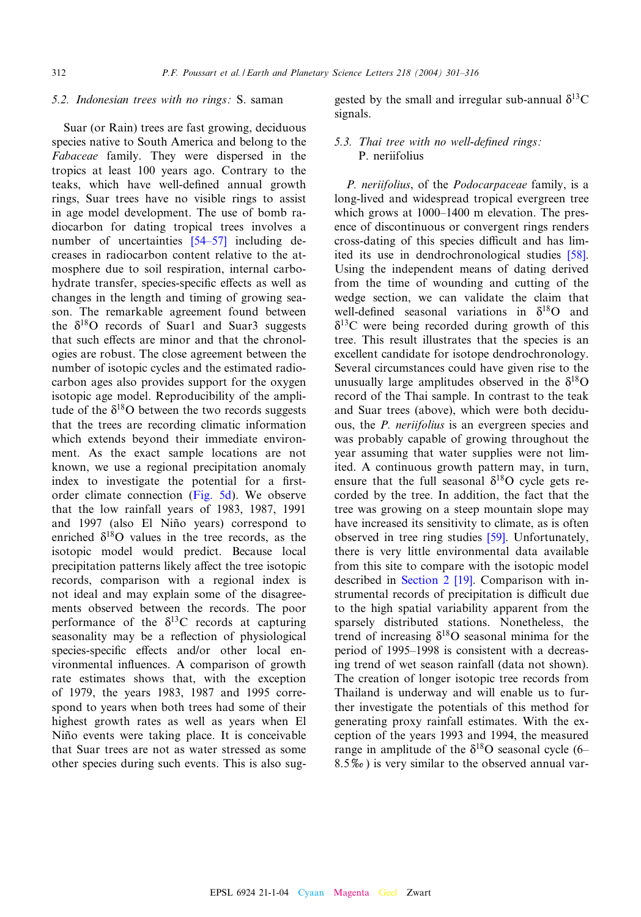#### 5.2. Indonesian trees with no rings: S. saman

Suar (or Rain) trees are fast growing, deciduous species native to South America and belong to the Fabaceae family. They were dispersed in the tropics at least 100 years ago. Contrary to the teaks, which have well-defined annual growth rings, Suar trees have no visible rings to assist in age model development[. The u](#page-15-0)se of bomb radiocarbon for dating tropical trees involves a number of uncertainties [54-57] including decreases in radiocarbon content relative to the atmosphere due to soil respiration, internal carbohydrate transfer, species-specific effects as well as changes in the length and timing of growing season. The remarkable agreement found between the  $\delta^{18}$ O records of Suar1 and Suar3 suggests that such effects are minor and that the chronologies are robust. The close agreement between the number of isotopic cycles and the estimated radiocarbon ages also provides support for the oxygen isotopic age model. Reproducibility of the amplitude of the  $\delta^{18}$ O between the two records suggests that the trees are recording climatic information which extends beyond their immediate environment. As the exact sample locations are not known, we use a regional [precipita](#page-8-0)tion anomaly index to investigate the potential for a firstorder climate connection (Fig. 5d). We observe that the low rainfall years of 1983, 1987, 1991 and 1997 (also El Niño years) correspond to enriched  $\delta^{18}$ O values in the tree records, as the isotopic model would predict. Because local precipitation patterns likely affect the tree isotopic records, comparison with a regional index is not ideal and may explain some of the disagreements observed between the records. The poor performance of the  $\delta^{13}$ C records at capturing seasonality may be a reflection of physiological species-specific effects and/or other local environmental influences. A comparison of growth rate estimates shows that, with the exception of 1979, the years 1983, 1987 and 1995 correspond to years when both trees had some of their highest growth rates as well as years when El Niño events were taking place. It is conceivable that Suar trees are not as water stressed as some other species during such events. This is also suggested by the small and irregular sub-annual  $\delta^{13}$ C signals.

## 5.3. Thai tree with no well-defined rings: P. neriifolius

P. neriifolius, of the Podocarpaceae family, is a long-lived and widespread tropical evergreen tree which grows at  $1000-1400$  m elevation. The presence of discontinuous or convergent rings re[nders](#page-15-0) cross-dating of this species difficult and has limited its use in dendrochronological studies [58]. Using the independent means of dating derived from the time of wounding and cutting of the wedge section, we can validate the claim that well-defined seasonal variations in  $\delta^{18}O$  and  $\delta^{13}$ C were being recorded during growth of this tree. This result illustrates that the species is an excellent candidate for isotope dendrochronology. Several circumstances could have given rise to the unusually large amplitudes observed in the  $\delta^{18}O$ record of the Thai sample. In contrast to the teak and Suar trees (above), which were both deciduous, the *P. neriifolius* is an evergreen species and was probably capable of growing throughout the year assuming that water supplies were not limited. A continuous growth pattern may, in turn, ensure that the full seasonal  $\delta^{18}$ O cycle gets recorded by the tree. In addition, the fact that the tree was growing on a steep [mou](#page-15-0)ntain slope may have increased its sensitivity to climate, as is often observed in tree ring studies [59]. Unfortunately, there is very [little env](#page-1-0)[iron](#page-13-0)mental data available from this site to compare with the isotopic model described in Section 2 [19]. Comparison with instrumental records of precipitation is difficult due to the high spatial variability apparent from the sparsely distributed stations. Nonetheless, the trend of increasing  $\delta^{18}$ O seasonal minima for the period of 1995–1998 is consistent with a decreasing trend of wet season rainfall (data not shown). The creation of longer isotopic tree records from Thailand is underway and will enable us to further investigate the potentials of this method for generating proxy rainfall estimates. With the exception of the years 1993 and 1994, the measured range in amplitude of the  $\delta^{18}$ O seasonal cycle (6– 8.5x) is very similar to the observed annual var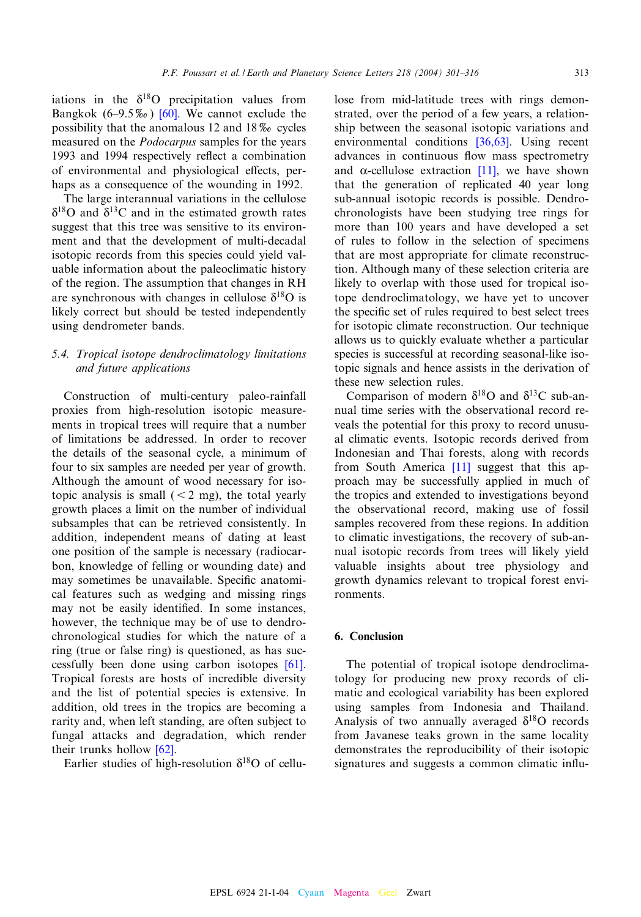iations in the  $\delta^{18}$ [O](#page-15-0) [pr](#page-15-0)ecipitation values from Bangkok (6–9.5 $\%$ ) [60]. We cannot exclude the possibility that the anomalous 12 and  $18\%$  cycles measured on the Podocarpus samples for the years 1993 and 1994 respectively reflect a combination of environmental and physiological effects, perhaps as a consequence of the wounding in 1992.

The large interannual variations in the cellulose  $\delta^{18}$ O and  $\delta^{13}$ C and in the estimated growth rates suggest that this tree was sensitive to its environment and that the development of multi-decadal isotopic records from this species could yield valuable information about the paleoclimatic history of the region. The assumption that changes in RH are synchronous with changes in cellulose  $\delta^{18}$ O is likely correct but should be tested independently using dendrometer bands.

## 5.4. Tropical isotope dendroclimatology limitations and future applications

Construction of multi-century paleo-rainfall proxies from high-resolution isotopic measurements in tropical trees will require that a number of limitations be addressed. In order to recover the details of the seasonal cycle, a minimum of four to six samples are needed per year of growth. Although the amount of wood necessary for isotopic analysis is small  $(< 2$  mg), the total yearly growth places a limit on the number of individual subsamples that can be retrieved consistently. In addition, independent means of dating at least one position of the sample is necessary (radiocarbon, knowledge of felling or wounding date) and may sometimes be unavailable. Specific anatomical features such as wedging and missing rings may not be easily identified. In some instances, however, the technique may be of use to dendrochronological studies for which the nature [of a](#page-15-0) ring (true or false ring) is questioned, as has successfully been done using carbon isotopes [61]. Tropical forests are hosts of incredible diversity and the list of potential species is extensive. In addition, old trees in the tropics are becoming a rarity and, when left [stan](#page-15-0)ding, are often subject to fungal attacks and degradation, which render their trunks hollow [62].

Earlier studies of high-resolution  $\delta^{18}$ O of cellu-

lose from mid-latitude trees with rings demonstrated, over the period of [a few y](#page-14-0)ears, a relationship between the seasonal isotopic variations and environmental conditions [\[36,6](#page-13-0)3]. Using recent advances in continuous flow mass spectrometry and  $\alpha$ -cellulose extraction [11], we have shown that the generation of replicated 40 year long sub-annual isotopic records is possible. Dendrochronologists have been studying tree rings for more than 100 years and have developed a set of rules to follow in the selection of specimens that are most appropriate for climate reconstruction. Although many of these selection criteria are likely to overlap with those used for tropical isotope dendroclimatology, we have yet to uncover the specific set of rules required to best select trees for isotopic climate reconstruction. Our technique allows us to quickly evaluate whether a particular species is successful at recording seasonal-like isotopic signals and hence assists in the derivation of these new selection rules.

Comparison of modern  $\delta^{18}$ O and  $\delta^{13}$ C sub-annual time series with the observational record reveals the potential for this proxy to record unusual climatic events. Iso[topic](#page-13-0) records derived from Indonesian and Thai forests, along with records from South America [11] suggest that this approach may be successfully applied in much of the tropics and extended to investigations beyond the observational record, making use of fossil samples recovered from these regions. In addition to climatic investigations, the recovery of sub-annual isotopic records from trees will likely yield valuable insights about tree physiology and growth dynamics relevant to tropical forest environments.

## 6. Conclusion

The potential of tropical isotope dendroclimatology for producing new proxy records of climatic and ecological variability has been explored using samples from Indonesia and Thailand. Analysis of two annually averaged  $\delta^{18}O$  records from Javanese teaks grown in the same locality demonstrates the reproducibility of their isotopic signatures and suggests a common climatic influ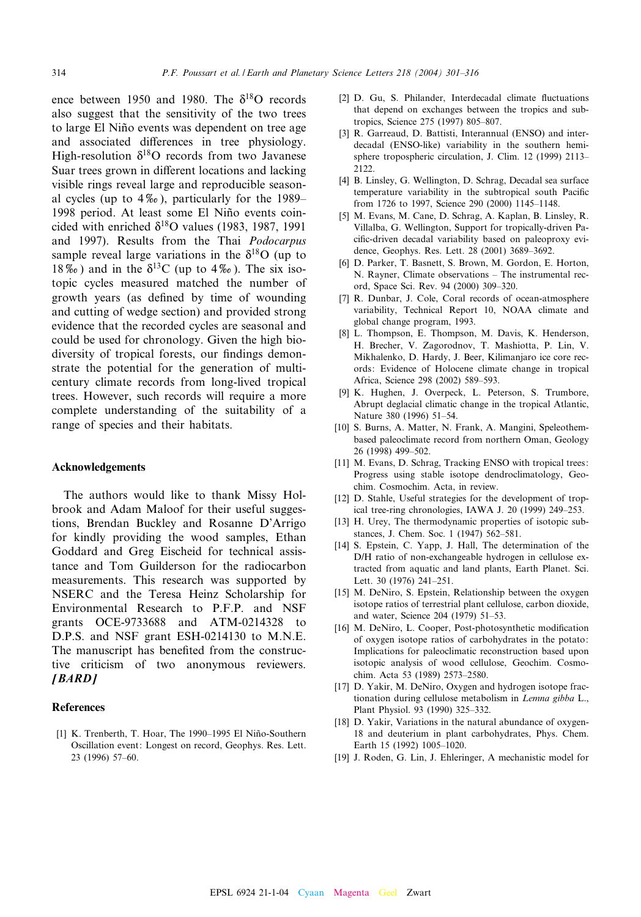<span id="page-13-0"></span>ence between 1950 and 1980. The  $\delta^{18}$ O records also suggest that the sensitivity of the two trees to large El Niño events was dependent on tree age and associated differences in tree physiology. High-resolution  $\delta^{18}O$  records from two Javanese Suar trees grown in different locations and lacking visible rings reveal large and reproducible seasonal cycles (up to  $4\%$ ), particularly for the 1989– 1998 period. At least some El Niño events coincided with enriched  $\delta^{18}$ O values (1983, 1987, 1991) and 1997). Results from the Thai Podocarpus sample reveal large variations in the  $\delta^{18}$ O (up to 18\% to ) and in the  $\delta^{13}$ C (up to 4\% o). The six isotopic cycles measured matched the number of growth years (as defined by time of wounding and cutting of wedge section) and provided strong evidence that the recorded cycles are seasonal and could be used for chronology. Given the high biodiversity of tropical forests, our findings demonstrate the potential for the generation of multicentury climate records from long-lived tropical trees. However, such records will require a more complete understanding of the suitability of a range of species and their habitats.

#### Acknowledgements

The authors would like to thank Missy Holbrook and Adam Maloof for their useful suggestions, Brendan Buckley and Rosanne D'Arrigo for kindly providing the wood samples, Ethan Goddard and Greg Eischeid for technical assistance and Tom Guilderson for the radiocarbon measurements. This research was supported by NSERC and the Teresa Heinz Scholarship for Environmental Research to P.F.P. and NSF grants OCE-9733688 and ATM-0214328 to D.P.S. and NSF grant ESH-0214130 to M.N.E. The manuscript has benefited from the constructive criticism of two anonymous reviewers. [BARD]

#### References

[1] K. Trenberth, T. Hoar, The 1990-1995 El Niño-Southern Oscillation event: Longest on record, Geophys. Res. Lett. 23 (1996) 57^60.

- [2] D. Gu, S. Philander, Interdecadal climate fluctuations that depend on exchanges between the tropics and subtropics, Science 275 (1997) 805-807.
- [3] R. Garreaud, D. Battisti, Interannual (ENSO) and interdecadal (ENSO-like) variability in the southern hemisphere tropospheric circulation, J. Clim. 12 (1999) 2113-2122.
- [4] B. Linsley, G. Wellington, D. Schrag, Decadal sea surface temperature variability in the subtropical south Pacific from 1726 to 1997, Science 290 (2000) 1145-1148.
- [5] M. Evans, M. Cane, D. Schrag, A. Kaplan, B. Linsley, R. Villalba, G. Wellington, Support for tropically-driven Pacific-driven decadal variability based on paleoproxy evidence, Geophys. Res. Lett. 28 (2001) 3689-3692.
- [6] D. Parker, T. Basnett, S. Brown, M. Gordon, E. Horton, N. Rayner, Climate observations - The instrumental record, Space Sci. Rev. 94 (2000) 309-320.
- [7] R. Dunbar, J. Cole, Coral records of ocean-atmosphere variability, Technical Report 10, NOAA climate and global change program, 1993.
- [8] L. Thompson, E. Thompson, M. Davis, K. Henderson, H. Brecher, V. Zagorodnov, T. Mashiotta, P. Lin, V. Mikhalenko, D. Hardy, J. Beer, Kilimanjaro ice core records: Evidence of Holocene climate change in tropical Africa, Science 298 (2002) 589-593.
- [9] K. Hughen, J. Overpeck, L. Peterson, S. Trumbore, Abrupt deglacial climatic change in the tropical Atlantic, Nature 380 (1996) 51-54.
- [10] S. Burns, A. Matter, N. Frank, A. Mangini, Speleothembased paleoclimate record from northern Oman, Geology 26 (1998) 499^502.
- [11] M. Evans, D. Schrag, Tracking ENSO with tropical trees: Progress using stable isotope dendroclimatology, Geochim. Cosmochim. Acta, in review.
- [12] D. Stahle, Useful strategies for the development of tropical tree-ring chronologies, IAWA J. 20 (1999) 249^253.
- [13] H. Urey, The thermodynamic properties of isotopic substances, J. Chem. Soc. 1 (1947) 562^581.
- [14] S. Epstein, C. Yapp, J. Hall, The determination of the D/H ratio of non-exchangeable hydrogen in cellulose extracted from aquatic and land plants, Earth Planet. Sci. Lett. 30 (1976) 241-251.
- [15] M. DeNiro, S. Epstein, Relationship between the oxygen isotope ratios of terrestrial plant cellulose, carbon dioxide, and water, Science 204 (1979) 51^53.
- [16] M. DeNiro, L. Cooper, Post-photosynthetic modification of oxygen isotope ratios of carbohydrates in the potato: Implications for paleoclimatic reconstruction based upon isotopic analysis of wood cellulose, Geochim. Cosmochim. Acta 53 (1989) 2573^2580.
- [17] D. Yakir, M. DeNiro, Oxygen and hydrogen isotope fractionation during cellulose metabolism in Lemna gibba L., Plant Physiol. 93 (1990) 325^332.
- [18] D. Yakir, Variations in the natural abundance of oxygen-18 and deuterium in plant carbohydrates, Phys. Chem. Earth 15 (1992) 1005-1020.
- [19] J. Roden, G. Lin, J. Ehleringer, A mechanistic model for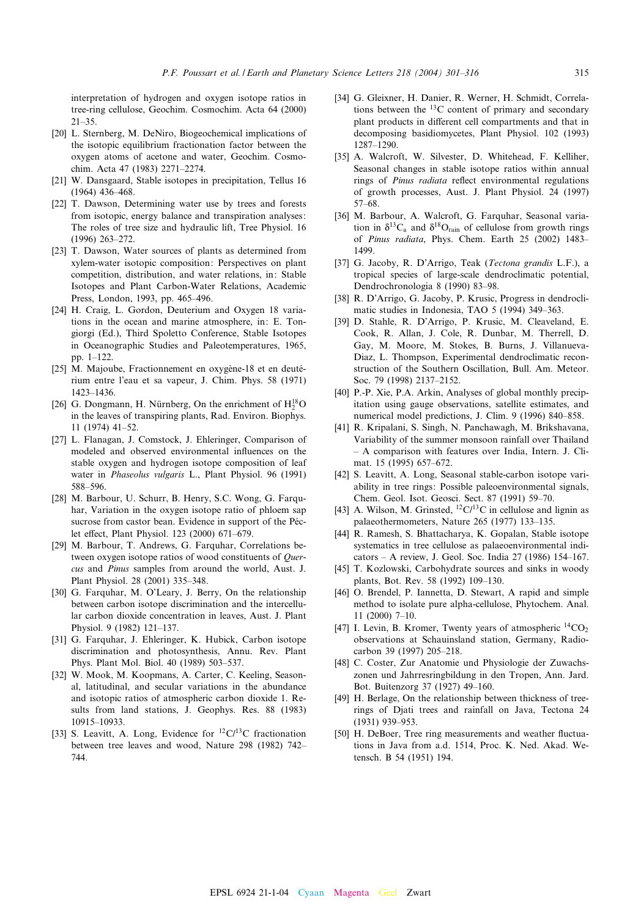<span id="page-14-0"></span>interpretation of hydrogen and oxygen isotope ratios in tree-ring cellulose, Geochim. Cosmochim. Acta 64 (2000)  $21 - 35$ .

- [20] L. Sternberg, M. DeNiro, Biogeochemical implications of the isotopic equilibrium fractionation factor between the oxygen atoms of acetone and water, Geochim. Cosmochim. Acta 47 (1983) 2271^2274.
- [21] W. Dansgaard, Stable isotopes in precipitation, Tellus 16  $(1964)$  436-468.
- [22] T. Dawson, Determining water use by trees and forests from isotopic, energy balance and transpiration analyses: The roles of tree size and hydraulic lift, Tree Physiol. 16 (1996) 263-272.
- [23] T. Dawson, Water sources of plants as determined from xylem-water isotopic composition: Perspectives on plant competition, distribution, and water relations, in: Stable Isotopes and Plant Carbon-Water Relations, Academic Press, London, 1993, pp. 465^496.
- [24] H. Craig, L. Gordon, Deuterium and Oxygen 18 variations in the ocean and marine atmosphere, in: E. Tongiorgi (Ed.), Third Spoletto Conference, Stable Isotopes in Oceanographic Studies and Paleotemperatures, 1965, pp. 1-122.
- [25] M. Majoube, Fractionnement en oxygène-18 et en deutérium entre l'eau et sa vapeur, J. Chim. Phys. 58 (1971) 1423^1436.
- [26] G. Dongmann, H. Nürnberg, On the enrichment of  $H_2^{18}O$ in the leaves of transpiring plants, Rad. Environ. Biophys. 11 (1974) 41^52.
- [27] L. Flanagan, J. Comstock, J. Ehleringer, Comparison of modeled and observed environmental influences on the stable oxygen and hydrogen isotope composition of leaf water in Phaseolus vulgaris L., Plant Physiol. 96 (1991) 588^596.
- [28] M. Barbour, U. Schurr, B. Henry, S.C. Wong, G. Farquhar, Variation in the oxygen isotope ratio of phloem sap sucrose from castor bean. Evidence in support of the Péclet effect, Plant Physiol. 123 (2000) 671-679.
- [29] M. Barbour, T. Andrews, G. Farquhar, Correlations between oxygen isotope ratios of wood constituents of *Ouer*cus and Pinus samples from around the world, Aust. J. Plant Physiol. 28 (2001) 335^348.
- [30] G. Farquhar, M. O'Leary, J. Berry, On the relationship between carbon isotope discrimination and the intercellular carbon dioxide concentration in leaves, Aust. J. Plant Physiol. 9 (1982) 121^137.
- [31] G. Farquhar, J. Ehleringer, K. Hubick, Carbon isotope discrimination and photosynthesis, Annu. Rev. Plant Phys. Plant Mol. Biol. 40 (1989) 503^537.
- [32] W. Mook, M. Koopmans, A. Carter, C. Keeling, Seasonal, latitudinal, and secular variations in the abundance and isotopic ratios of atmospheric carbon dioxide 1. Results from land stations, J. Geophys. Res. 88 (1983) 10915^10933.
- [33] S. Leavitt, A. Long, Evidence for  ${}^{12}$ C/ ${}^{13}$ C fractionation between tree leaves and wood, Nature 298 (1982) 742^ 744.
- [34] G. Gleixner, H. Danier, R. Werner, H. Schmidt, Correlations between the  $^{13}$ C content of primary and secondary plant products in different cell compartments and that in decomposing basidiomycetes, Plant Physiol. 102 (1993) 1287^1290.
- [35] A. Walcroft, W. Silvester, D. Whitehead, F. Kelliher, Seasonal changes in stable isotope ratios within annual rings of Pinus radiata reflect environmental regulations of growth processes, Aust. J. Plant Physiol. 24 (1997) 57^68.
- [36] M. Barbour, A. Walcroft, G. Farquhar, Seasonal variation in  $\delta^{13}C_a$  and  $\delta^{18}O_{\text{rain}}$  of cellulose from growth rings of Pinus radiata, Phys. Chem. Earth 25 (2002) 1483-1499.
- [37] G. Jacoby, R. D'Arrigo, Teak (Tectona grandis L.F.), a tropical species of large-scale dendroclimatic potential, Dendrochronologia 8 (1990) 83-98.
- [38] R. D'Arrigo, G. Jacoby, P. Krusic, Progress in dendroclimatic studies in Indonesia, TAO 5 (1994) 349-363.
- [39] D. Stahle, R. D'Arrigo, P. Krusic, M. Cleaveland, E. Cook, R. Allan, J. Cole, R. Dunbar, M. Therrell, D. Gay, M. Moore, M. Stokes, B. Burns, J. Villanueva-Diaz, L. Thompson, Experimental dendroclimatic reconstruction of the Southern Oscillation, Bull. Am. Meteor. Soc. 79 (1998) 2137-2152.
- [40] P.-P. Xie, P.A. Arkin, Analyses of global monthly precipitation using gauge observations, satellite estimates, and numerical model predictions, J. Clim. 9 (1996) 840-858.
- [41] R. Kripalani, S. Singh, N. Panchawagh, M. Brikshavana, Variability of the summer monsoon rainfall over Thailand ^ A comparison with features over India, Intern. J. Climat. 15 (1995) 657-672.
- [42] S. Leavitt, A. Long, Seasonal stable-carbon isotope variability in tree rings: Possible paleoenvironmental signals, Chem. Geol. Isot. Geosci. Sect. 87 (1991) 59^70.
- [43] A. Wilson, M. Grinsted,  ${}^{12}C/{}^{13}C$  in cellulose and lignin as palaeothermometers, Nature 265 (1977) 133^135.
- [44] R. Ramesh, S. Bhattacharya, K. Gopalan, Stable isotope systematics in tree cellulose as palaeoenvironmental indicators  $- A$  review, J. Geol. Soc. India 27 (1986) 154–167.
- [45] T. Kozlowski, Carbohydrate sources and sinks in woody plants, Bot. Rev. 58 (1992) 109^130.
- [46] O. Brendel, P. Iannetta, D. Stewart, A rapid and simple method to isolate pure alpha-cellulose, Phytochem. Anal. 11 (2000) 7^10.
- [47] I. Levin, B. Kromer, Twenty years of atmospheric <sup>14</sup>CO<sub>2</sub> observations at Schauinsland station, Germany, Radiocarbon 39 (1997) 205^218.
- [48] C. Coster, Zur Anatomie und Physiologie der Zuwachszonen und Jahrresringbildung in den Tropen, Ann. Jard. Bot. Buitenzorg 37 (1927) 49^160.
- [49] H. Berlage, On the relationship between thickness of treerings of Djati trees and rainfall on Java, Tectona 24 (1931) 939-953.
- [50] H. DeBoer, Tree ring measurements and weather fluctuations in Java from a.d. 1514, Proc. K. Ned. Akad. Wetensch. B 54 (1951) 194.